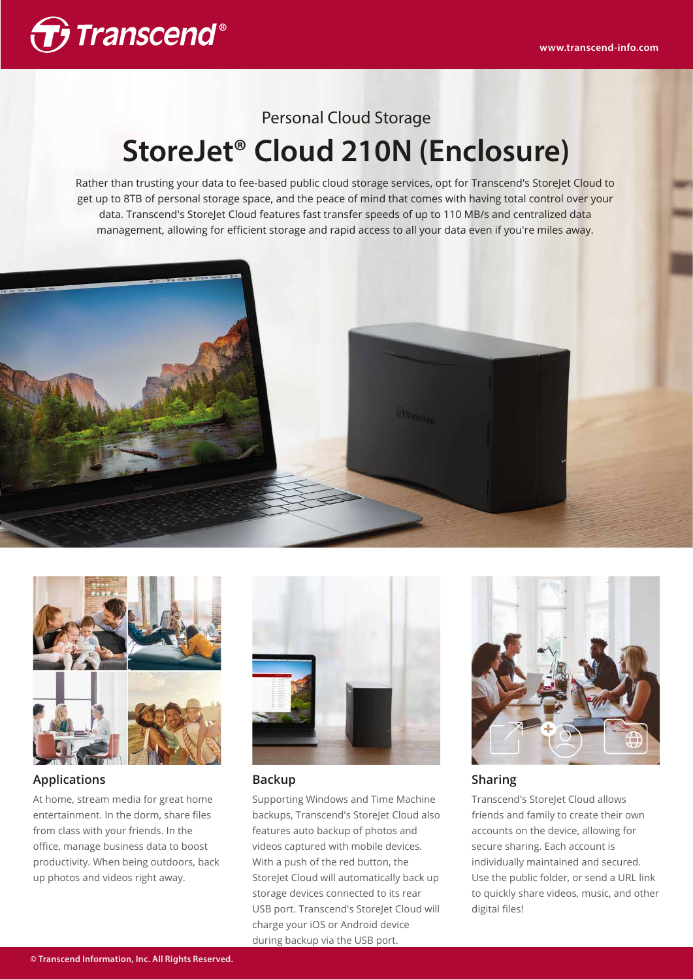

# Personal Cloud Storage **StoreJet® Cloud 210N (Enclosure)**

Rather than trusting your data to fee-based public cloud storage services, opt for Transcend's StoreJet Cloud to get up to 8TB of personal storage space, and the peace of mind that comes with having total control over your data. Transcend's StoreJet Cloud features fast transfer speeds of up to 110 MB/s and centralized data management, allowing for efficient storage and rapid access to all your data even if you're miles away.





## **Applications**

At home, stream media for great home entertainment. In the dorm, share files from class with your friends. In the office, manage business data to boost productivity. When being outdoors, back up photos and videos right away.



## **Backup**

Supporting Windows and Time Machine backups, Transcend's StoreJet Cloud also features auto backup of photos and videos captured with mobile devices. With a push of the red button, the StoreJet Cloud will automatically back up storage devices connected to its rear USB port. Transcend's StoreJet Cloud will charge your iOS or Android device during backup via the USB port.



## **Sharing**

Transcend's StoreJet Cloud allows friends and family to create their own accounts on the device, allowing for secure sharing. Each account is individually maintained and secured. Use the public folder, or send a URL link to quickly share videos, music, and other digital files!